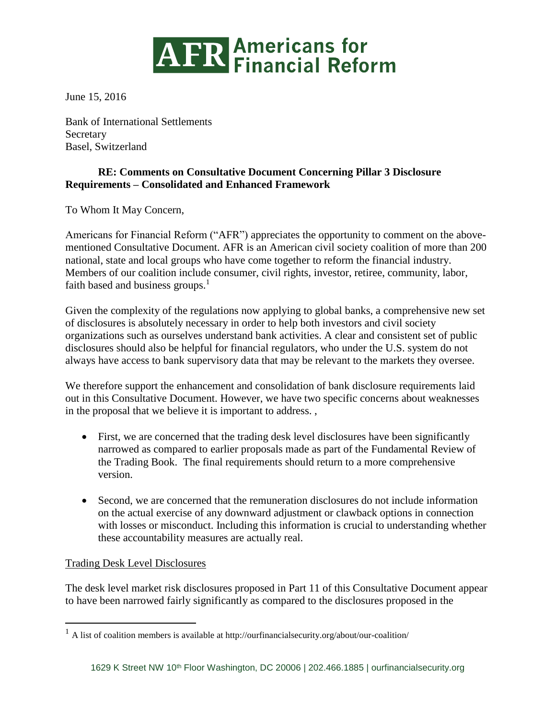

June 15, 2016

Bank of International Settlements **Secretary** Basel, Switzerland

## **RE: Comments on Consultative Document Concerning Pillar 3 Disclosure Requirements – Consolidated and Enhanced Framework**

To Whom It May Concern,

Americans for Financial Reform ("AFR") appreciates the opportunity to comment on the abovementioned Consultative Document. AFR is an American civil society coalition of more than 200 national, state and local groups who have come together to reform the financial industry. Members of our coalition include consumer, civil rights, investor, retiree, community, labor, faith based and business groups. $<sup>1</sup>$ </sup>

Given the complexity of the regulations now applying to global banks, a comprehensive new set of disclosures is absolutely necessary in order to help both investors and civil society organizations such as ourselves understand bank activities. A clear and consistent set of public disclosures should also be helpful for financial regulators, who under the U.S. system do not always have access to bank supervisory data that may be relevant to the markets they oversee.

We therefore support the enhancement and consolidation of bank disclosure requirements laid out in this Consultative Document. However, we have two specific concerns about weaknesses in the proposal that we believe it is important to address. ,

- First, we are concerned that the trading desk level disclosures have been significantly narrowed as compared to earlier proposals made as part of the Fundamental Review of the Trading Book. The final requirements should return to a more comprehensive version.
- Second, we are concerned that the remuneration disclosures do not include information on the actual exercise of any downward adjustment or clawback options in connection with losses or misconduct. Including this information is crucial to understanding whether these accountability measures are actually real.

## Trading Desk Level Disclosures

 $\overline{a}$ 

The desk level market risk disclosures proposed in Part 11 of this Consultative Document appear to have been narrowed fairly significantly as compared to the disclosures proposed in the

 $<sup>1</sup>$  A list of coalition members is available at http://ourfinancialsecurity.org/about/our-coalition/</sup>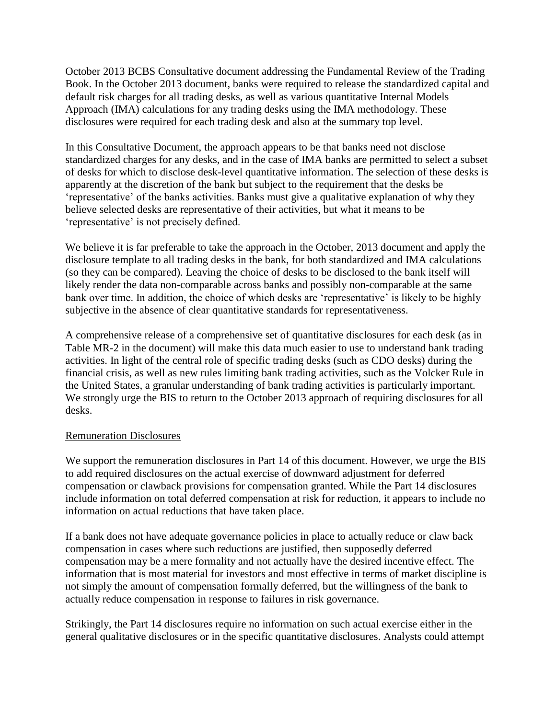October 2013 BCBS Consultative document addressing the Fundamental Review of the Trading Book. In the October 2013 document, banks were required to release the standardized capital and default risk charges for all trading desks, as well as various quantitative Internal Models Approach (IMA) calculations for any trading desks using the IMA methodology. These disclosures were required for each trading desk and also at the summary top level.

In this Consultative Document, the approach appears to be that banks need not disclose standardized charges for any desks, and in the case of IMA banks are permitted to select a subset of desks for which to disclose desk-level quantitative information. The selection of these desks is apparently at the discretion of the bank but subject to the requirement that the desks be 'representative' of the banks activities. Banks must give a qualitative explanation of why they believe selected desks are representative of their activities, but what it means to be 'representative' is not precisely defined.

We believe it is far preferable to take the approach in the October, 2013 document and apply the disclosure template to all trading desks in the bank, for both standardized and IMA calculations (so they can be compared). Leaving the choice of desks to be disclosed to the bank itself will likely render the data non-comparable across banks and possibly non-comparable at the same bank over time. In addition, the choice of which desks are 'representative' is likely to be highly subjective in the absence of clear quantitative standards for representativeness.

A comprehensive release of a comprehensive set of quantitative disclosures for each desk (as in Table MR-2 in the document) will make this data much easier to use to understand bank trading activities. In light of the central role of specific trading desks (such as CDO desks) during the financial crisis, as well as new rules limiting bank trading activities, such as the Volcker Rule in the United States, a granular understanding of bank trading activities is particularly important. We strongly urge the BIS to return to the October 2013 approach of requiring disclosures for all desks.

#### Remuneration Disclosures

We support the remuneration disclosures in Part 14 of this document. However, we urge the BIS to add required disclosures on the actual exercise of downward adjustment for deferred compensation or clawback provisions for compensation granted. While the Part 14 disclosures include information on total deferred compensation at risk for reduction, it appears to include no information on actual reductions that have taken place.

If a bank does not have adequate governance policies in place to actually reduce or claw back compensation in cases where such reductions are justified, then supposedly deferred compensation may be a mere formality and not actually have the desired incentive effect. The information that is most material for investors and most effective in terms of market discipline is not simply the amount of compensation formally deferred, but the willingness of the bank to actually reduce compensation in response to failures in risk governance.

Strikingly, the Part 14 disclosures require no information on such actual exercise either in the general qualitative disclosures or in the specific quantitative disclosures. Analysts could attempt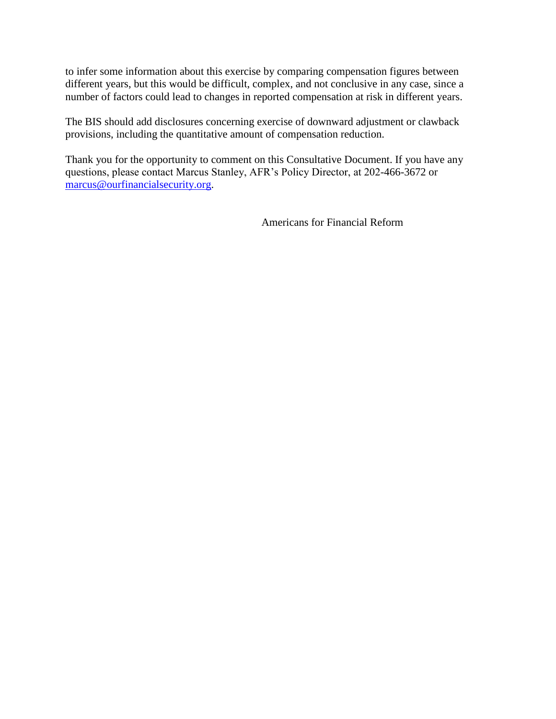to infer some information about this exercise by comparing compensation figures between different years, but this would be difficult, complex, and not conclusive in any case, since a number of factors could lead to changes in reported compensation at risk in different years.

The BIS should add disclosures concerning exercise of downward adjustment or clawback provisions, including the quantitative amount of compensation reduction.

Thank you for the opportunity to comment on this Consultative Document. If you have any questions, please contact Marcus Stanley, AFR's Policy Director, at 202-466-3672 or [marcus@ourfinancialsecurity.org.](mailto:marcus@ourfinancialsecurity.org)

Americans for Financial Reform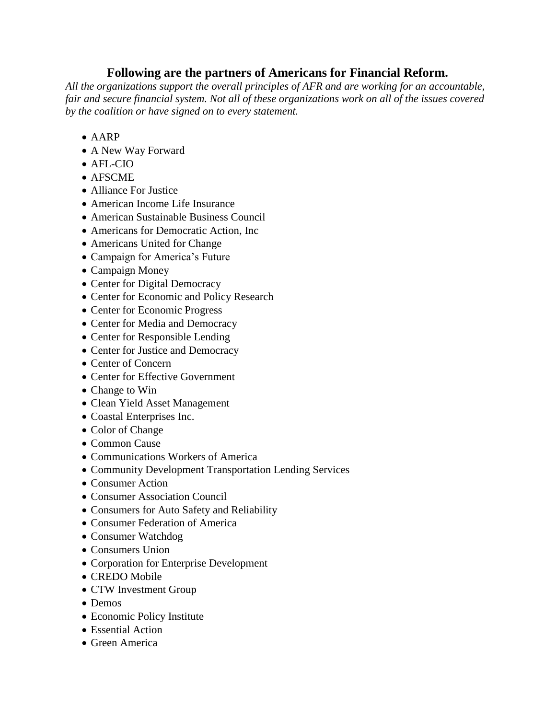# **Following are the partners of Americans for Financial Reform.**

*All the organizations support the overall principles of AFR and are working for an accountable, fair and secure financial system. Not all of these organizations work on all of the issues covered by the coalition or have signed on to every statement.*

- AARP
- A New Way Forward
- AFL-CIO
- AFSCME
- Alliance For Justice
- American Income Life Insurance
- American Sustainable Business Council
- Americans for Democratic Action, Inc.
- Americans United for Change
- Campaign for America's Future
- Campaign Money
- Center for Digital Democracy
- Center for Economic and Policy Research
- Center for Economic Progress
- Center for Media and Democracy
- Center for Responsible Lending
- Center for Justice and Democracy
- Center of Concern
- Center for Effective Government
- Change to Win
- Clean Yield Asset Management
- Coastal Enterprises Inc.
- Color of Change
- Common Cause
- Communications Workers of America
- Community Development Transportation Lending Services
- Consumer Action
- Consumer Association Council
- Consumers for Auto Safety and Reliability
- Consumer Federation of America
- Consumer Watchdog
- Consumers Union
- Corporation for Enterprise Development
- CREDO Mobile
- CTW Investment Group
- Demos
- Economic Policy Institute
- Essential Action
- Green America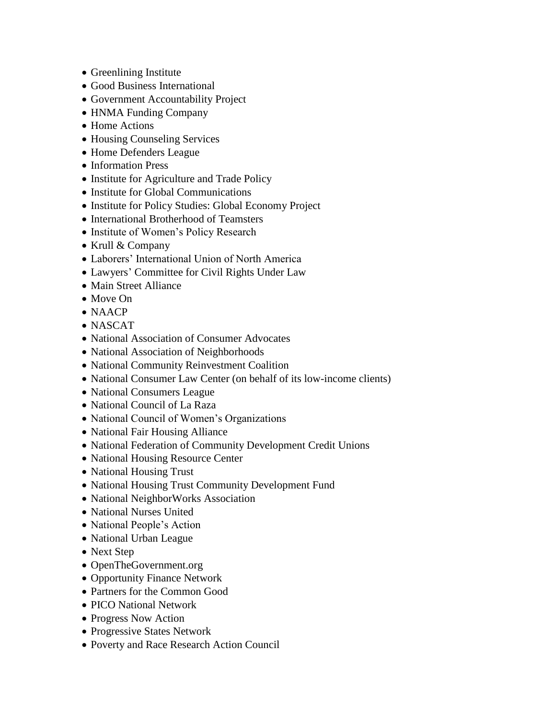- Greenlining Institute
- Good Business International
- Government Accountability Project
- HNMA Funding Company
- Home Actions
- Housing Counseling Services
- Home Defenders League
- Information Press
- Institute for Agriculture and Trade Policy
- Institute for Global Communications
- Institute for Policy Studies: Global Economy Project
- International Brotherhood of Teamsters
- Institute of Women's Policy Research
- Krull & Company
- Laborers' International Union of North America
- Lawyers' Committee for Civil Rights Under Law
- Main Street Alliance
- Move On
- NAACP
- NASCAT
- National Association of Consumer Advocates
- National Association of Neighborhoods
- National Community Reinvestment Coalition
- National Consumer Law Center (on behalf of its low-income clients)
- National Consumers League
- National Council of La Raza
- National Council of Women's Organizations
- National Fair Housing Alliance
- National Federation of Community Development Credit Unions
- National Housing Resource Center
- National Housing Trust
- National Housing Trust Community Development Fund
- National NeighborWorks Association
- National Nurses United
- National People's Action
- National Urban League
- Next Step
- OpenTheGovernment.org
- Opportunity Finance Network
- Partners for the Common Good
- PICO National Network
- Progress Now Action
- Progressive States Network
- Poverty and Race Research Action Council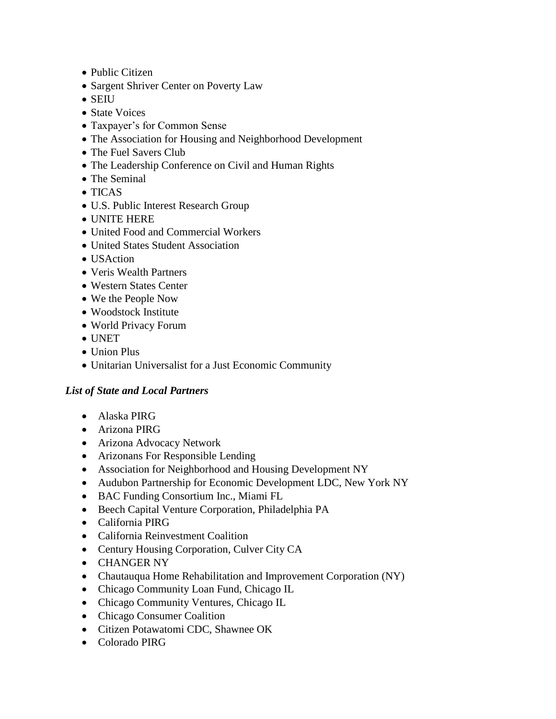- Public Citizen
- Sargent Shriver Center on Poverty Law
- SEIU
- State Voices
- Taxpayer's for Common Sense
- The Association for Housing and Neighborhood Development
- The Fuel Savers Club
- The Leadership Conference on Civil and Human Rights
- The Seminal
- TICAS
- U.S. Public Interest Research Group
- UNITE HERE
- United Food and Commercial Workers
- United States Student Association
- **USAction**
- Veris Wealth Partners
- Western States Center
- We the People Now
- Woodstock Institute
- World Privacy Forum
- UNET
- Union Plus
- Unitarian Universalist for a Just Economic Community

## *List of State and Local Partners*

- Alaska PIRG
- Arizona PIRG
- Arizona Advocacy Network
- Arizonans For Responsible Lending
- Association for Neighborhood and Housing Development NY
- Audubon Partnership for Economic Development LDC, New York NY
- BAC Funding Consortium Inc., Miami FL
- Beech Capital Venture Corporation, Philadelphia PA
- California PIRG
- California Reinvestment Coalition
- Century Housing Corporation, Culver City CA
- CHANGER NY
- Chautauqua Home Rehabilitation and Improvement Corporation (NY)
- Chicago Community Loan Fund, Chicago IL
- Chicago Community Ventures, Chicago IL
- Chicago Consumer Coalition
- Citizen Potawatomi CDC, Shawnee OK
- Colorado PIRG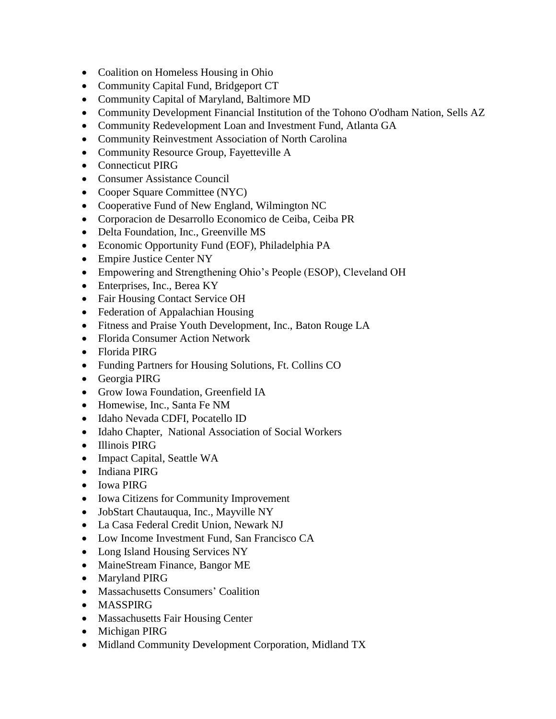- Coalition on Homeless Housing in Ohio
- Community Capital Fund, Bridgeport CT
- Community Capital of Maryland, Baltimore MD
- Community Development Financial Institution of the Tohono O'odham Nation, Sells AZ
- Community Redevelopment Loan and Investment Fund, Atlanta GA
- Community Reinvestment Association of North Carolina
- Community Resource Group, Fayetteville A
- Connecticut PIRG
- Consumer Assistance Council
- Cooper Square Committee (NYC)
- Cooperative Fund of New England, Wilmington NC
- Corporacion de Desarrollo Economico de Ceiba, Ceiba PR
- Delta Foundation, Inc., Greenville MS
- Economic Opportunity Fund (EOF), Philadelphia PA
- Empire Justice Center NY
- Empowering and Strengthening Ohio's People (ESOP), Cleveland OH
- Enterprises, Inc., Berea KY
- Fair Housing Contact Service OH
- Federation of Appalachian Housing
- Fitness and Praise Youth Development, Inc., Baton Rouge LA
- Florida Consumer Action Network
- Florida PIRG
- Funding Partners for Housing Solutions, Ft. Collins CO
- Georgia PIRG
- Grow Iowa Foundation, Greenfield IA
- Homewise, Inc., Santa Fe NM
- Idaho Nevada CDFI, Pocatello ID
- Idaho Chapter, National Association of Social Workers
- Illinois PIRG
- Impact Capital, Seattle WA
- Indiana PIRG
- Iowa PIRG
- Iowa Citizens for Community Improvement
- JobStart Chautauqua, Inc., Mayville NY
- La Casa Federal Credit Union, Newark NJ
- Low Income Investment Fund, San Francisco CA
- Long Island Housing Services NY
- MaineStream Finance, Bangor ME
- Maryland PIRG
- Massachusetts Consumers' Coalition
- MASSPIRG
- Massachusetts Fair Housing Center
- Michigan PIRG
- Midland Community Development Corporation, Midland TX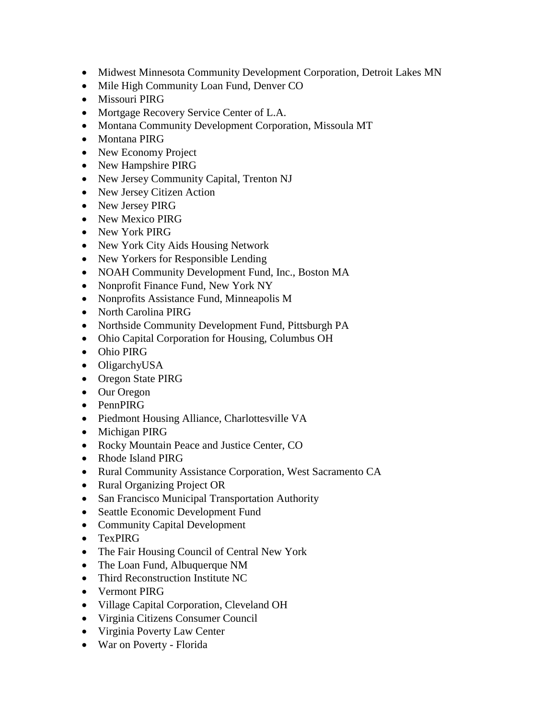- Midwest Minnesota Community Development Corporation, Detroit Lakes MN
- Mile High Community Loan Fund, Denver CO
- Missouri PIRG
- Mortgage Recovery Service Center of L.A.
- Montana Community Development Corporation, Missoula MT
- Montana PIRG
- New Economy Project
- New Hampshire PIRG
- New Jersey Community Capital, Trenton NJ
- New Jersey Citizen Action
- New Jersey PIRG
- New Mexico PIRG
- New York PIRG
- New York City Aids Housing Network
- New Yorkers for Responsible Lending
- NOAH Community Development Fund, Inc., Boston MA
- Nonprofit Finance Fund, New York NY
- Nonprofits Assistance Fund, Minneapolis M
- North Carolina PIRG
- Northside Community Development Fund, Pittsburgh PA
- Ohio Capital Corporation for Housing, Columbus OH
- Ohio PIRG
- OligarchyUSA
- Oregon State PIRG
- Our Oregon
- PennPIRG
- Piedmont Housing Alliance, Charlottesville VA
- Michigan PIRG
- Rocky Mountain Peace and Justice Center, CO
- Rhode Island PIRG
- Rural Community Assistance Corporation, West Sacramento CA
- Rural Organizing Project OR
- San Francisco Municipal Transportation Authority
- Seattle Economic Development Fund
- Community Capital Development
- TexPIRG
- The Fair Housing Council of Central New York
- The Loan Fund, Albuquerque NM
- Third Reconstruction Institute NC
- Vermont PIRG
- Village Capital Corporation, Cleveland OH
- Virginia Citizens Consumer Council
- Virginia Poverty Law Center
- War on Poverty Florida